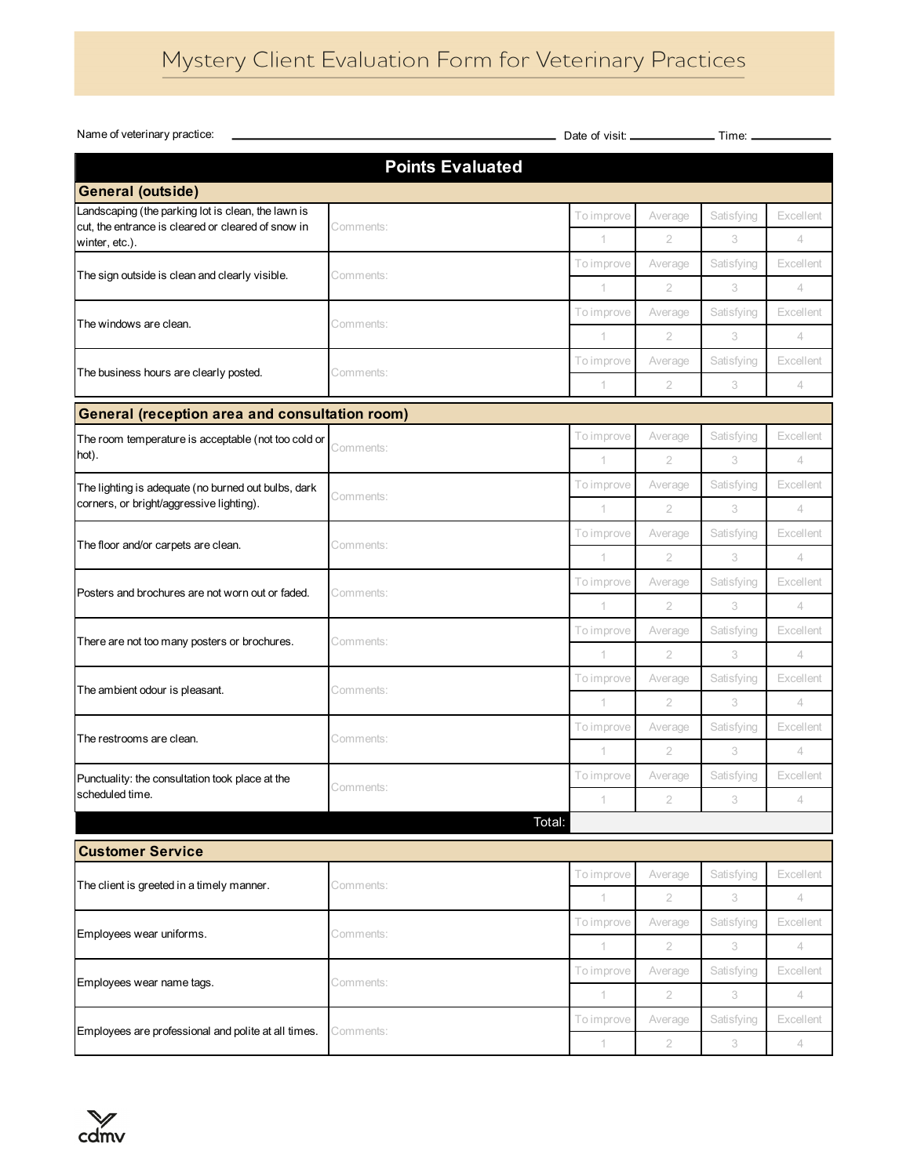| Name of veterinary practice:                                         |                         |             |                |            |                |
|----------------------------------------------------------------------|-------------------------|-------------|----------------|------------|----------------|
|                                                                      | <b>Points Evaluated</b> |             |                |            |                |
| <b>General (outside)</b>                                             |                         |             |                |            |                |
| Landscaping (the parking lot is clean, the lawn is                   |                         | To improve  | Average        | Satisfying | Excellent      |
| cut, the entrance is cleared or cleared of snow in<br>winter, etc.). | Comments:               | 1           | $\overline{2}$ | 3          | 4              |
|                                                                      |                         | To improve  | Average        | Satisfying | Excellent      |
| The sign outside is clean and clearly visible.                       | Comments:               | 1           | $\overline{2}$ | 3          | $\overline{4}$ |
| The windows are clean.                                               |                         | To improve  | Average        | Satisfying | Excellent      |
|                                                                      | Comments:               | 1           | $\overline{2}$ | 3          | 4              |
| The business hours are clearly posted.                               | Comments:               | To improve  | Average        | Satisfying | Excellent      |
|                                                                      |                         | $\mathbf 1$ | $\overline{2}$ | 3          | $\overline{4}$ |
| <b>General (reception area and consultation room)</b>                |                         |             |                |            |                |
| The room temperature is acceptable (not too cold or                  | Comments:               | To improve  | Average        | Satisfying | Excellent      |
| hot).                                                                |                         | $\mathbf 1$ | $\overline{2}$ | 3          | $\overline{4}$ |
| The lighting is adequate (no burned out bulbs, dark                  | Comments:               | To improve  | Average        | Satisfying | Excellent      |
| corners, or bright/aggressive lighting).                             |                         | 1           | $\overline{2}$ | 3          | 4              |
| The floor and/or carpets are clean.                                  | Comments:               | To improve  | Average        | Satisfying | Excellent      |
|                                                                      |                         | 1           | $\overline{2}$ | 3          | $\overline{4}$ |
| Posters and brochures are not worn out or faded.                     | Comments:               | To improve  | Average        | Satisfying | Excellent      |
|                                                                      |                         | 1           | $\overline{2}$ | 3          | $\overline{4}$ |
| There are not too many posters or brochures.                         | Comments:               | To improve  | Average        | Satisfying | Excellent      |
|                                                                      |                         | 1           | $\overline{2}$ | 3          | $\overline{4}$ |
| The ambient odour is pleasant.                                       | Comments:               | To improve  | Average        | Satisfying | Excellent      |
|                                                                      |                         | 1           | $\overline{2}$ | 3          | 4              |
| The restrooms are clean.                                             | Comments:               | To improve  | Average        | Satisfying | Excellent      |
|                                                                      |                         | 1           | $\overline{2}$ | 3          | $\overline{4}$ |
| Punctuality: the consultation took place at the                      | Comments:               | To improve  | Average        | Satisfying | Excellent      |
| scheduled time.                                                      |                         | 1           | $\overline{2}$ | 3          | $\overline{4}$ |
|                                                                      | Total:                  |             |                |            |                |
| <b>Customer Service</b>                                              |                         |             |                |            |                |
| The client is greeted in a timely manner.                            | Comments:               | To improve  | Average        | Satisfying | Excellent      |
|                                                                      |                         | 1           | $\overline{2}$ | 3          | $\overline{4}$ |
| Employees wear uniforms.                                             | Comments:               | To improve  | Average        | Satisfying | Excellent      |
|                                                                      |                         | 1           | $\overline{2}$ | 3          | 4              |
| Employees wear name tags.                                            | Comments:               | To improve  | Average        | Satisfying | Excellent      |
|                                                                      |                         | 1           | $\overline{2}$ | 3          | 4              |
| Employees are professional and polite at all times.                  | Comments:               | To improve  | Average        | Satisfying | Excellent      |
|                                                                      |                         | 1           | $\overline{2}$ | 3          | 4              |

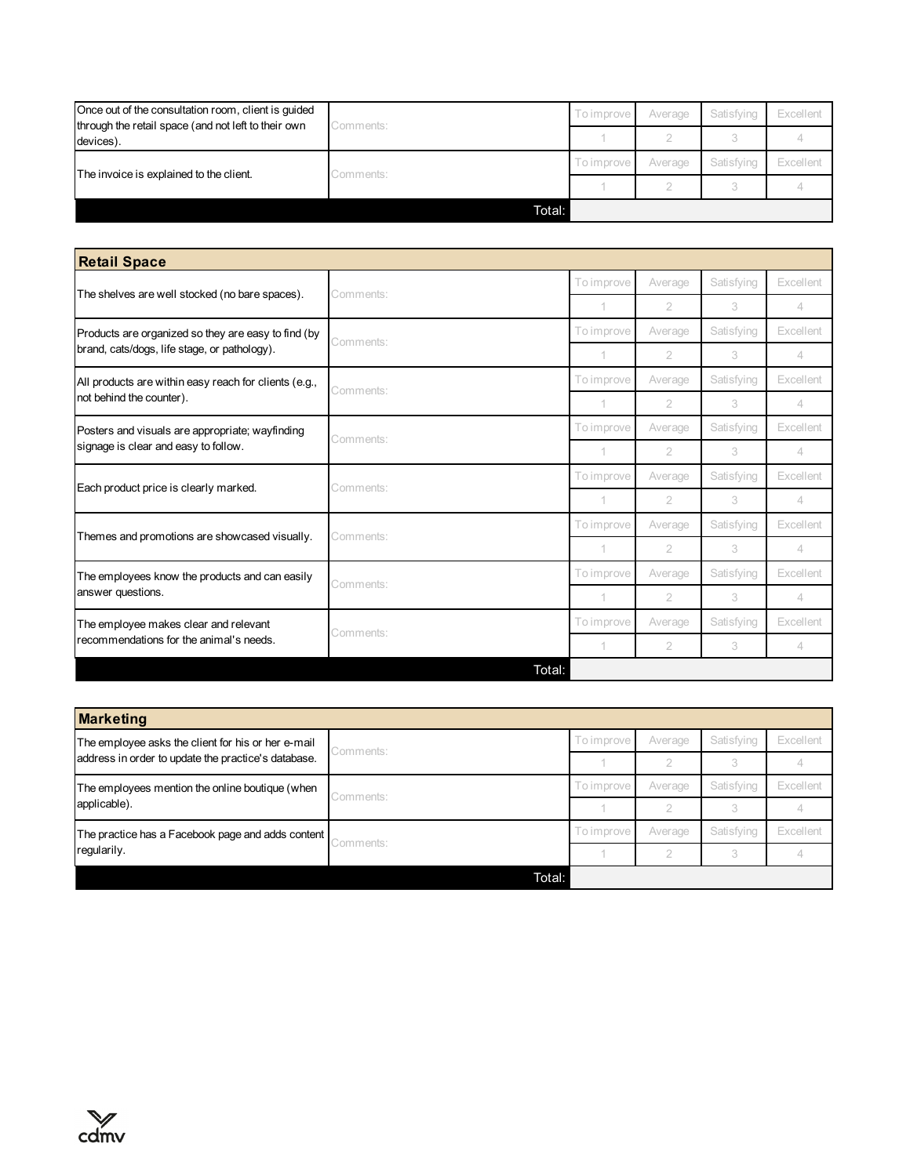| Once out of the consultation room, client is guided<br>through the retail space (and not left to their own | Comments: | To improve | Average | Satisfying | Excellent |
|------------------------------------------------------------------------------------------------------------|-----------|------------|---------|------------|-----------|
| devices).                                                                                                  |           |            |         |            |           |
| The invoice is explained to the client.                                                                    | comments: | To improve | Average | Satisfying | Excellent |
|                                                                                                            |           |            |         |            |           |
|                                                                                                            | Total:    |            |         |            |           |

| <b>Retail Space</b>                                   |           |            |                |            |                |
|-------------------------------------------------------|-----------|------------|----------------|------------|----------------|
| The shelves are well stocked (no bare spaces).        | Comments: | To improve | Average        | Satisfying | Excellent      |
|                                                       |           |            | $\mathfrak{D}$ | 3          | 4              |
| Products are organized so they are easy to find (by   | Comments: | To improve | Average        | Satisfying | Excellent      |
| brand, cats/dogs, life stage, or pathology).          |           | 1          | $\mathcal{P}$  | 3          | 4              |
| All products are within easy reach for clients (e.g., |           | To improve | Average        | Satisfying | Excellent      |
| not behind the counter).                              | Comments: |            | $\overline{2}$ | 3          | 4              |
| Posters and visuals are appropriate; wayfinding       | Comments: | To improve | Average        | Satisfying | Excellent      |
| signage is clear and easy to follow.                  |           |            | 2              | 3          | $\overline{4}$ |
| Each product price is clearly marked.                 | Comments: | To improve | Average        | Satisfying | Excellent      |
|                                                       |           |            | $\overline{2}$ | 3          | 4              |
| Themes and promotions are showcased visually.         | Comments: | To improve | Average        | Satisfying | Excellent      |
|                                                       |           |            | $\overline{2}$ | 3          | 4              |
| The employees know the products and can easily        | Comments: | To improve | Average        | Satisfying | Excellent      |
| answer questions.                                     |           |            | $\mathfrak{D}$ | 3          | 4              |
| The employee makes clear and relevant                 | Comments: | To improve | Average        | Satisfying | Excellent      |
| recommendations for the animal's needs.               |           | 1          | $\mathfrak{D}$ | 3          | 4              |
|                                                       | Total:    |            |                |            |                |

| <b>Marketing</b>                                    |           |            |         |            |           |
|-----------------------------------------------------|-----------|------------|---------|------------|-----------|
| The employee asks the client for his or her e-mail  | Comments: | To improve | Average | Satisfying | Excellent |
| address in order to update the practice's database. |           |            |         |            |           |
| The employees mention the online boutique (when     | Comments: | To improve | Average | Satisfying | Excellent |
| applicable).                                        |           |            |         | 3          |           |
| The practice has a Facebook page and adds content   | Comments: | To improve | Average | Satisfying | Excellent |
| regularily.                                         |           |            |         | 3          |           |
|                                                     | Total:    |            |         |            |           |